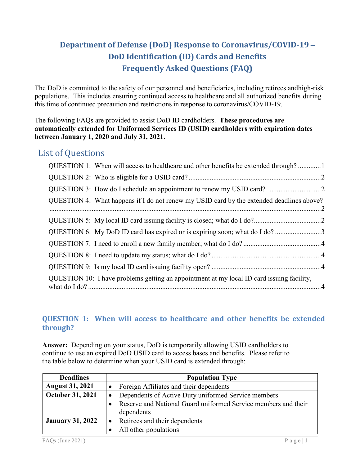# **Department of Defense (DoD) Response to Coronavirus/COVID-19 – DoD Identification (ID) Cards and Benefits Frequently Asked Questions (FAQ)**

The DoD is committed to the safety of our personnel and beneficiaries, including retirees and high-risk populations. This includes ensuring continued access to healthcare and all authorized benefits during this time of continued precaution and restrictions in response to coronavirus/COVID-19.

The following FAQs are provided to assist DoD ID cardholders. **These procedures are automatically extended for Uniformed Services ID (USID) cardholders with expiration dates between January 1, 2020 and July 31, 2021.** 

# List of Questions

| QUESTION 1: When will access to healthcare and other benefits be extended through?        |  |
|-------------------------------------------------------------------------------------------|--|
|                                                                                           |  |
|                                                                                           |  |
| QUESTION 4: What happens if I do not renew my USID card by the extended deadlines above?  |  |
|                                                                                           |  |
| QUESTION 6: My DoD ID card has expired or is expiring soon; what do I do?3                |  |
|                                                                                           |  |
|                                                                                           |  |
|                                                                                           |  |
| QUESTION 10: I have problems getting an appointment at my local ID card issuing facility, |  |

# <span id="page-0-0"></span>**QUESTION 1: When will access to healthcare and other benefits be extended through?**

**Answer:** Depending on your status, DoD is temporarily allowing USID cardholders to continue to use an expired DoD USID card to access bases and benefits. Please refer to the table below to determine when your USID card is extended through:

| <b>Deadlines</b>        | <b>Population Type</b>                                         |
|-------------------------|----------------------------------------------------------------|
| <b>August 31, 2021</b>  | Foreign Affiliates and their dependents<br>$\bullet$           |
| October 31, 2021        | Dependents of Active Duty uniformed Service members            |
|                         | Reserve and National Guard uniformed Service members and their |
|                         | dependents                                                     |
| <b>January 31, 2022</b> | Retirees and their dependents                                  |
|                         | All other populations                                          |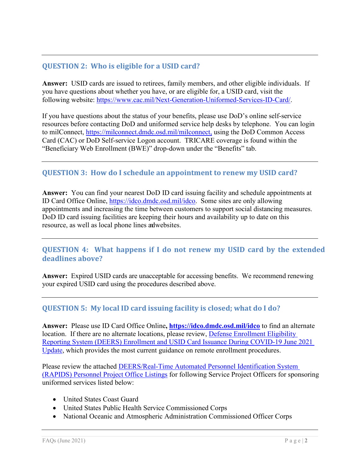# <span id="page-1-0"></span>**QUESTION 2: Who is eligible for a USID card?**

**Answer:** USID cards are issued to retirees, family members, and other eligible individuals. If you have questions about whether you have, or are eligible for, a USID card, visit the following website: [https://www.cac.mil/Next-Generation-Uniformed-Services-ID-Card/.](https://www.cac.mil/Next-Generation-Uniformed-Services-ID-Card/)

If you have questions about the status of your benefits, please use DoD's online self-service resources before contacting DoD and uniformed service help desks by telephone. You can login to milConnect, [https://milconnect.dmdc.osd.mil/milconnect,](https://milconnect.dmdc.osd.mil/milconnect) using the DoD Common Access Card (CAC) or DoD Self-service Logon account. TRICARE coverage is found within the "Beneficiary Web Enrollment (BWE)" drop-down under the "Benefits" tab.

# <span id="page-1-1"></span>**QUESTION 3: How do I schedule an appointment to renew my USID card?**

**Answer:** You can find your nearest DoD ID card issuing facility and schedule appointments at ID Card Office Online, [https://idco.dmdc.osd.mil/idco.](https://idco.dmdc.osd.mil/idco) Some sites are only allowing appointments and increasing the time between customers to support social distancing measures. DoD ID card issuing facilities are keeping their hours and availability up to date on this resource, as well as local phone lines andwebsites.

# <span id="page-1-2"></span>**QUESTION 4: What happens if I do not renew my USID card by the extended deadlines above?**

**Answer:** Expired USID cards are unacceptable for accessing benefits. We recommend renewing your expired USID card using the procedures described above.

### <span id="page-1-3"></span>**QUESTION 5: My local ID card issuing facility is closed; what do I do?**

**Answer:** Please use ID Card Office Online**,<https://idco.dmdc.osd.mil/idco>** to find an alternate location. If there are no alternate locations, please review, Defense Enrollment Eligibility [Reporting System \(DEERS\) Enrollment and USID Card Issuance During COVID-19 June 2021](https://www.cac.mil/Portals/53/Documents/DEERS%20Enrollment%20and%20USID%20Card%20Issuance%20During%20COVID-19%20June%202021%20Update.pdf?ver=XEhF-OXRo7lC66AFTsBHhA%3d%3d)  [Update,](https://www.cac.mil/Portals/53/Documents/DEERS%20Enrollment%20and%20USID%20Card%20Issuance%20During%20COVID-19%20June%202021%20Update.pdf?ver=XEhF-OXRo7lC66AFTsBHhA%3d%3d) which provides the most current guidance on remote enrollment procedures.

Please review the attached [DEERS/Real-Time Automated Personnel Identification System](https://dhra.deps.mil/sites/DMDC_port1/RAPIDS/LOG/OPS%20Admin/Contacts/VOIS%20SPO%20Listing.pdf#search=NOAA%20SPO)  [\(RAPIDS\) Personnel Project Office Listings](https://dhra.deps.mil/sites/DMDC_port1/RAPIDS/LOG/OPS%20Admin/Contacts/VOIS%20SPO%20Listing.pdf#search=NOAA%20SPO) for following Service Project Officers for sponsoring uniformed services listed below:

- United States Coast Guard
- United States Public Health Service Commissioned Corps
- National Oceanic and Atmospheric Administration Commissioned Officer Corps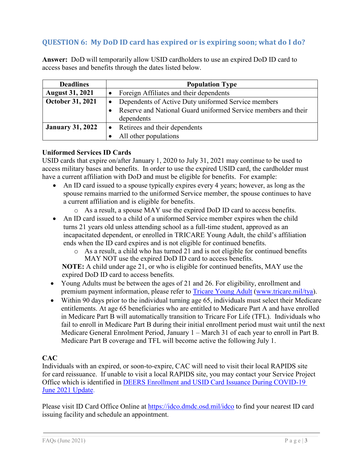# <span id="page-2-0"></span>**QUESTION 6: My DoD ID card has expired or is expiring soon; what do I do?**

**Answer:** DoD will temporarily allow USID cardholders to use an expired DoD ID card to access bases and benefits through the dates listed below.

| <b>Deadlines</b>        | <b>Population Type</b>                                         |
|-------------------------|----------------------------------------------------------------|
| <b>August 31, 2021</b>  | Foreign Affiliates and their dependents                        |
| October 31, 2021        | Dependents of Active Duty uniformed Service members            |
|                         | Reserve and National Guard uniformed Service members and their |
|                         | dependents                                                     |
| <b>January 31, 2022</b> | Retirees and their dependents                                  |
|                         | All other populations                                          |

#### **Uniformed Services ID Cards**

USID cards that expire on/after January 1, 2020 to July 31, 2021 may continue to be used to access military bases and benefits. In order to use the expired USID card, the cardholder must have a current affiliation with DoD and must be eligible for benefits. For example:

- An ID card issued to a spouse typically expires every 4 years; however, as long as the spouse remains married to the uniformed Service member, the spouse continues to have a current affiliation and is eligible for benefits.
	- o As a result, a spouse MAY use the expired DoD ID card to access benefits.
- An ID card issued to a child of a uniformed Service member expires when the child turns 21 years old unless attending school as a full-time student, approved as an incapacitated dependent, or enrolled in TRICARE Young Adult, the child's affiliation ends when the ID card expires and is not eligible for continued benefits.
	- o As a result, a child who has turned 21 and is not eligible for continued benefits MAY NOT use the expired DoD ID card to access benefits.

**NOTE:** A child under age 21, or who is eligible for continued benefits, MAY use the expired DoD ID card to access benefits.

- Young Adults must be between the ages of 21 and 26. For eligibility, enrollment and premium payment information, please refer to [Tricare Young Adult \(www.tricare.mil/tya\)](http://www.tricare.mil/tya).
- Within 90 days prior to the individual turning age 65, individuals must select their Medicare entitlements. At age 65 beneficiaries who are entitled to Medicare Part A and have enrolled in Medicare Part B will automatically transition to Tricare For Life (TFL). Individuals who fail to enroll in Medicare Part B during their initial enrollment period must wait until the next Medicare General Enrolment Period, January 1 – March 31 of each year to enroll in Part B. Medicare Part B coverage and TFL will become active the following July 1.

### **CAC**

Individuals with an expired, or soon-to-expire, CAC will need to visit their local RAPIDS site for card reissuance. If unable to visit a local RAPIDS site, you may contact your Service Project Office which is identified in DEERS Enrollment and USID Card [Issuance During COVID-19](https://www.cac.mil/Portals/53/Documents/DEERS%20Enrollment%20and%20USID%20Card%20Issuance%20During%20COVID-19%20June%202021%20Update.pdf?ver=XEhF-OXRo7lC66AFTsBHhA%3d%3d) June 2021 Update.

Please visit ID Card Office Online at https://idco.dmdc.osd.mil/idco to find your nearest ID card issuing facility and schedule an appointment.